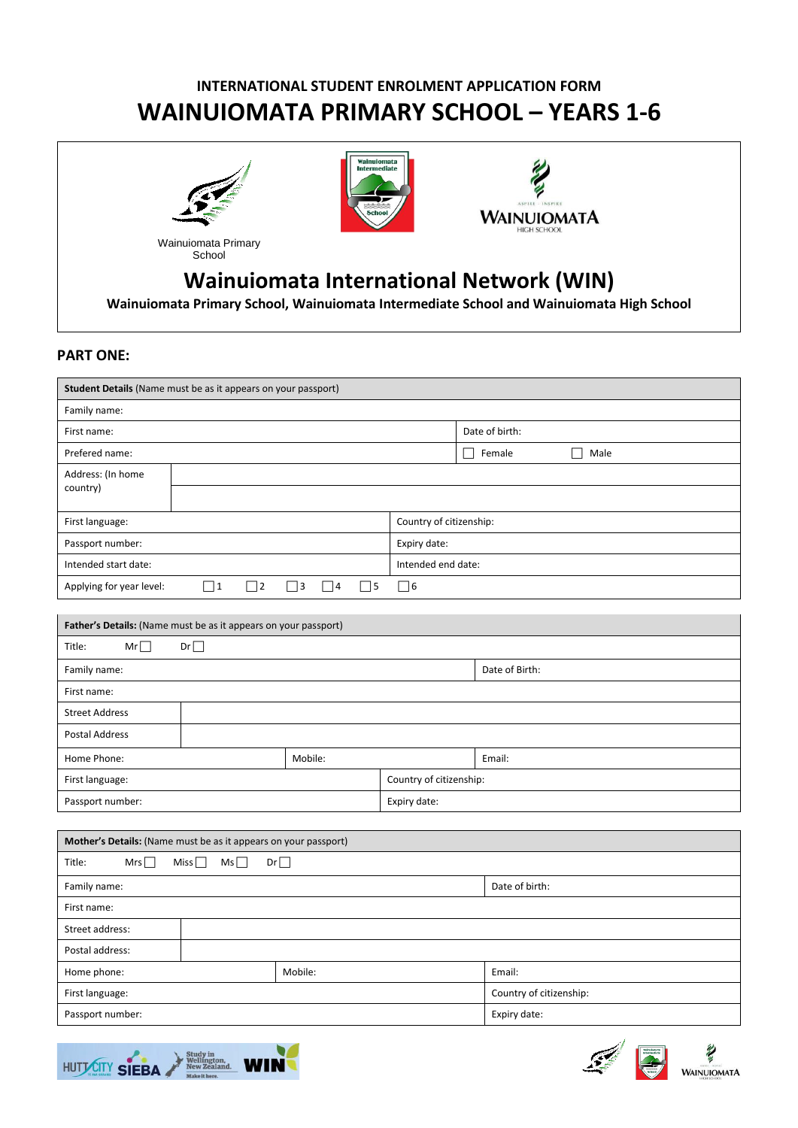# **INTERNATIONAL STUDENT ENROLMENT APPLICATION FORM WAINUIOMATA PRIMARY SCHOOL – YEARS 1-6**



School





# **Wainuiomata International Network (WIN)**

**Wainuiomata Primary School, Wainuiomata Intermediate School and Wainuiomata High School**

# **PART ONE:**

| Student Details (Name must be as it appears on your passport)   |                      |                                     |                    |                         |  |  |
|-----------------------------------------------------------------|----------------------|-------------------------------------|--------------------|-------------------------|--|--|
| Family name:                                                    |                      |                                     |                    |                         |  |  |
| First name:                                                     |                      |                                     | Date of birth:     |                         |  |  |
| Prefered name:                                                  |                      |                                     | Female<br>Male     |                         |  |  |
| Address: (In home                                               |                      |                                     |                    |                         |  |  |
| country)                                                        |                      |                                     |                    |                         |  |  |
| First language:                                                 |                      |                                     |                    | Country of citizenship: |  |  |
| Passport number:                                                |                      |                                     | Expiry date:       |                         |  |  |
| Intended start date:                                            |                      |                                     | Intended end date: |                         |  |  |
| Applying for year level:                                        | $\Box$ 1<br>$\Box$ 2 | $\Box$ 3<br>$\Box$ 4<br>$\square$ 5 | $\Box$ 6           |                         |  |  |
|                                                                 |                      |                                     |                    |                         |  |  |
| Father's Details: (Name must be as it appears on your passport) |                      |                                     |                    |                         |  |  |
| Title:<br>$Mr\Box$                                              | Dr                   |                                     |                    |                         |  |  |
| Family name:                                                    |                      |                                     |                    | Date of Birth:          |  |  |
| First name:                                                     |                      |                                     |                    |                         |  |  |
| <b>Street Address</b>                                           |                      |                                     |                    |                         |  |  |
| Postal Address                                                  |                      |                                     |                    |                         |  |  |
| Home Phone:                                                     | Mobile:              |                                     |                    | Email:                  |  |  |
| First language:                                                 |                      |                                     |                    | Country of citizenship: |  |  |
| Passport number:                                                |                      | Expiry date:                        |                    |                         |  |  |
|                                                                 |                      |                                     |                    |                         |  |  |
| Mother's Details: (Name must be as it appears on your passport) |                      |                                     |                    |                         |  |  |
| Mrs<br>Title:                                                   | Miss $\Box$<br>Ms    | Dr                                  |                    |                         |  |  |
| Family name:                                                    |                      |                                     |                    | Date of birth:          |  |  |
| First name:                                                     |                      |                                     |                    |                         |  |  |
| Street address:                                                 |                      |                                     |                    |                         |  |  |
| Postal address:                                                 |                      |                                     |                    |                         |  |  |
| Home phone:                                                     |                      | Mobile:                             |                    | Email:                  |  |  |
| First language:                                                 |                      |                                     |                    | Country of citizenship: |  |  |
| Passport number:                                                |                      |                                     |                    | Expiry date:            |  |  |





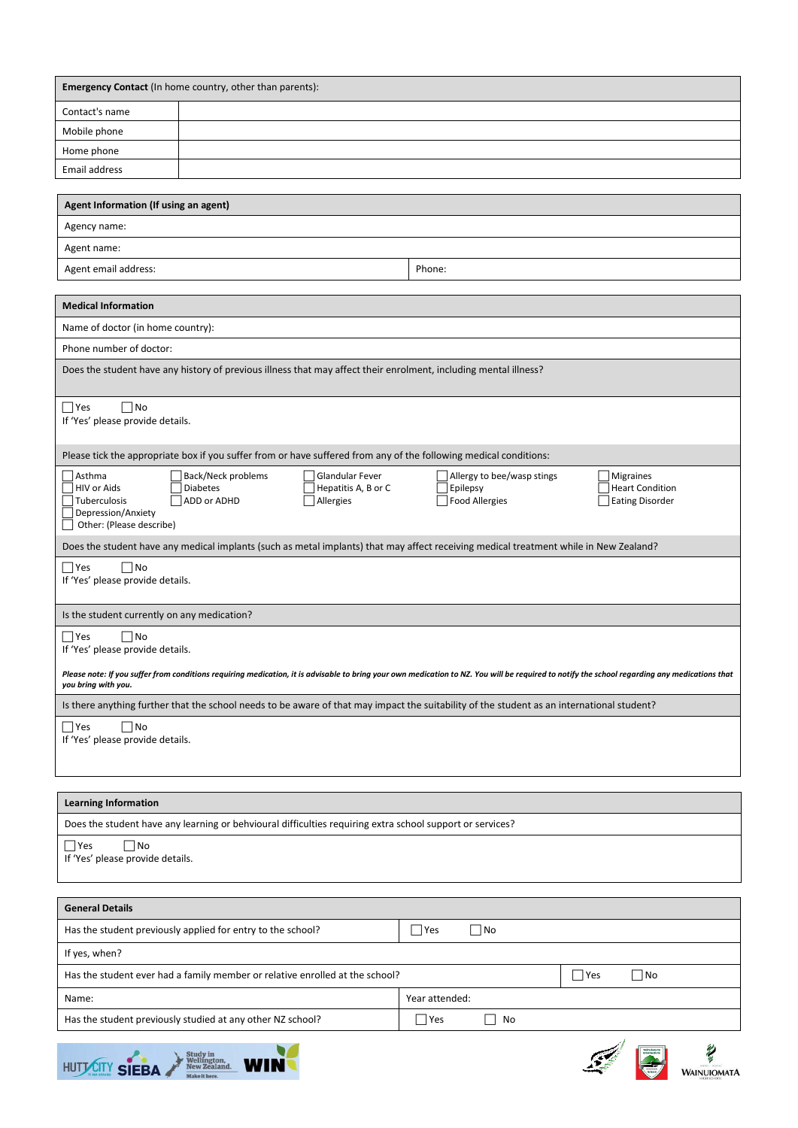| <b>Emergency Contact</b> (In home country, other than parents): |  |  |  |
|-----------------------------------------------------------------|--|--|--|
| Contact's name                                                  |  |  |  |
| Mobile phone                                                    |  |  |  |
| Home phone                                                      |  |  |  |
| Email address                                                   |  |  |  |

| Agent Information (If using an agent) |        |  |
|---------------------------------------|--------|--|
| Agency name:                          |        |  |
| Agent name:                           |        |  |
| Agent email address:                  | Phone: |  |

| <b>Medical Information</b>                                                                                                                                                                                                                                                                                                                          |  |  |  |  |
|-----------------------------------------------------------------------------------------------------------------------------------------------------------------------------------------------------------------------------------------------------------------------------------------------------------------------------------------------------|--|--|--|--|
| Name of doctor (in home country):                                                                                                                                                                                                                                                                                                                   |  |  |  |  |
| Phone number of doctor:                                                                                                                                                                                                                                                                                                                             |  |  |  |  |
| Does the student have any history of previous illness that may affect their enrolment, including mental illness?                                                                                                                                                                                                                                    |  |  |  |  |
| $\Box$ Yes<br>$\Box$ No<br>If 'Yes' please provide details.                                                                                                                                                                                                                                                                                         |  |  |  |  |
| Please tick the appropriate box if you suffer from or have suffered from any of the following medical conditions:                                                                                                                                                                                                                                   |  |  |  |  |
| <b>Glandular Fever</b><br>l Asthma<br>Back/Neck problems<br>Allergy to bee/wasp stings<br>Migraines<br>Hepatitis A, B or C<br><b>Heart Condition</b><br>HIV or Aids<br><b>Diabetes</b><br>Epilepsy<br>Tuberculosis<br>ADD or ADHD<br>Allergies<br><b>Food Allergies</b><br><b>Eating Disorder</b><br>Depression/Anxiety<br>Other: (Please describe) |  |  |  |  |
| Does the student have any medical implants (such as metal implants) that may affect receiving medical treatment while in New Zealand?                                                                                                                                                                                                               |  |  |  |  |
| $\Box$ Yes<br>$\Box$ No<br>If 'Yes' please provide details.                                                                                                                                                                                                                                                                                         |  |  |  |  |
| Is the student currently on any medication?                                                                                                                                                                                                                                                                                                         |  |  |  |  |
| $\Box$ Yes<br>$\Box$ No<br>If 'Yes' please provide details.                                                                                                                                                                                                                                                                                         |  |  |  |  |
| Please note: If you suffer from conditions requiring medication, it is advisable to bring your own medication to NZ. You will be required to notify the school regarding any medications that<br>you bring with you.                                                                                                                                |  |  |  |  |
| Is there anything further that the school needs to be aware of that may impact the suitability of the student as an international student?                                                                                                                                                                                                          |  |  |  |  |
| $\Box$ Yes<br>$\Box$ No<br>If 'Yes' please provide details.                                                                                                                                                                                                                                                                                         |  |  |  |  |

# **Learning Information**

| Does the student have any learning or behvioural difficulties requiring extra school support or services? |
|-----------------------------------------------------------------------------------------------------------|
| $\Box$ Yes<br>i No<br>If 'Yes' please provide details.                                                    |

| <b>General Details</b>                                                       |                                        |
|------------------------------------------------------------------------------|----------------------------------------|
| Has the student previously applied for entry to the school?                  | $\Box$ No<br> Yes                      |
| If yes, when?                                                                |                                        |
| Has the student ever had a family member or relative enrolled at the school? | $\Box$ No<br>$\exists$ Yes             |
| Name:                                                                        | Year attended:                         |
| Has the student previously studied at any other NZ school?                   | No<br> Yes<br>$\overline{\phantom{0}}$ |
|                                                                              |                                        |



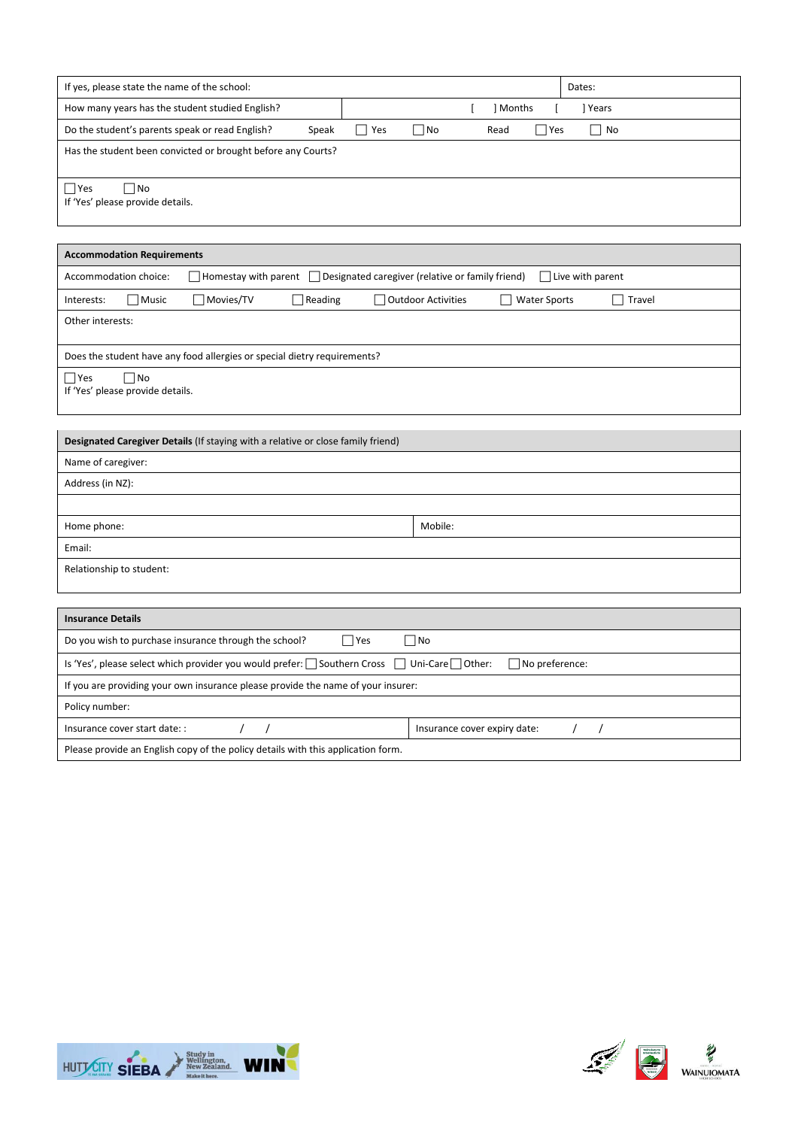| If yes, please state the name of the school:                                                                                          | Dates:                                                |  |  |
|---------------------------------------------------------------------------------------------------------------------------------------|-------------------------------------------------------|--|--|
| How many years has the student studied English?                                                                                       | Months<br>] Years<br>ſ                                |  |  |
| Do the student's parents speak or read English?<br>$\Box$ Yes<br>Speak                                                                | $\Box$ No<br>$\Box$ Yes<br>$\Box$ No<br>Read          |  |  |
| Has the student been convicted or brought before any Courts?                                                                          |                                                       |  |  |
| $\bigcap$ Yes<br>$\Box$ No<br>If 'Yes' please provide details.                                                                        |                                                       |  |  |
| <b>Accommodation Requirements</b>                                                                                                     |                                                       |  |  |
| $\Box$ Homestay with parent $\Box$ Designated caregiver (relative or family friend)<br>Accommodation choice:                          | $\Box$ Live with parent                               |  |  |
| □ Movies/TV<br>Interests:<br>  Music<br>Reading                                                                                       | Outdoor Activities<br>□ Water Sports<br>$\Box$ Travel |  |  |
| Other interests:                                                                                                                      |                                                       |  |  |
| Does the student have any food allergies or special dietry requirements?                                                              |                                                       |  |  |
| $\Box$ Yes<br>$\Box$ No<br>If 'Yes' please provide details.                                                                           |                                                       |  |  |
| Designated Caregiver Details (If staying with a relative or close family friend)                                                      |                                                       |  |  |
| Name of caregiver:                                                                                                                    |                                                       |  |  |
| Address (in NZ):                                                                                                                      |                                                       |  |  |
|                                                                                                                                       |                                                       |  |  |
| Home phone:                                                                                                                           | Mobile:                                               |  |  |
| Email:                                                                                                                                |                                                       |  |  |
| Relationship to student:                                                                                                              |                                                       |  |  |
|                                                                                                                                       |                                                       |  |  |
| <b>Insurance Details</b>                                                                                                              |                                                       |  |  |
| $\Box$ Yes<br>$\square$ No<br>Do you wish to purchase insurance through the school?                                                   |                                                       |  |  |
| Is 'Yes', please select which provider you would prefer: $\Box$ Southern Cross $\Box$ Uni-Care $\Box$ Other:<br>$\Box$ No preference: |                                                       |  |  |
| If you are providing your own insurance please provide the name of your insurer:                                                      |                                                       |  |  |
| Policy number:                                                                                                                        |                                                       |  |  |
| Insurance cover start date: :<br>$\prime$<br>$\prime$                                                                                 | Insurance cover expiry date:<br>$\prime$<br>$\prime$  |  |  |



Please provide an English copy of the policy details with this application form.

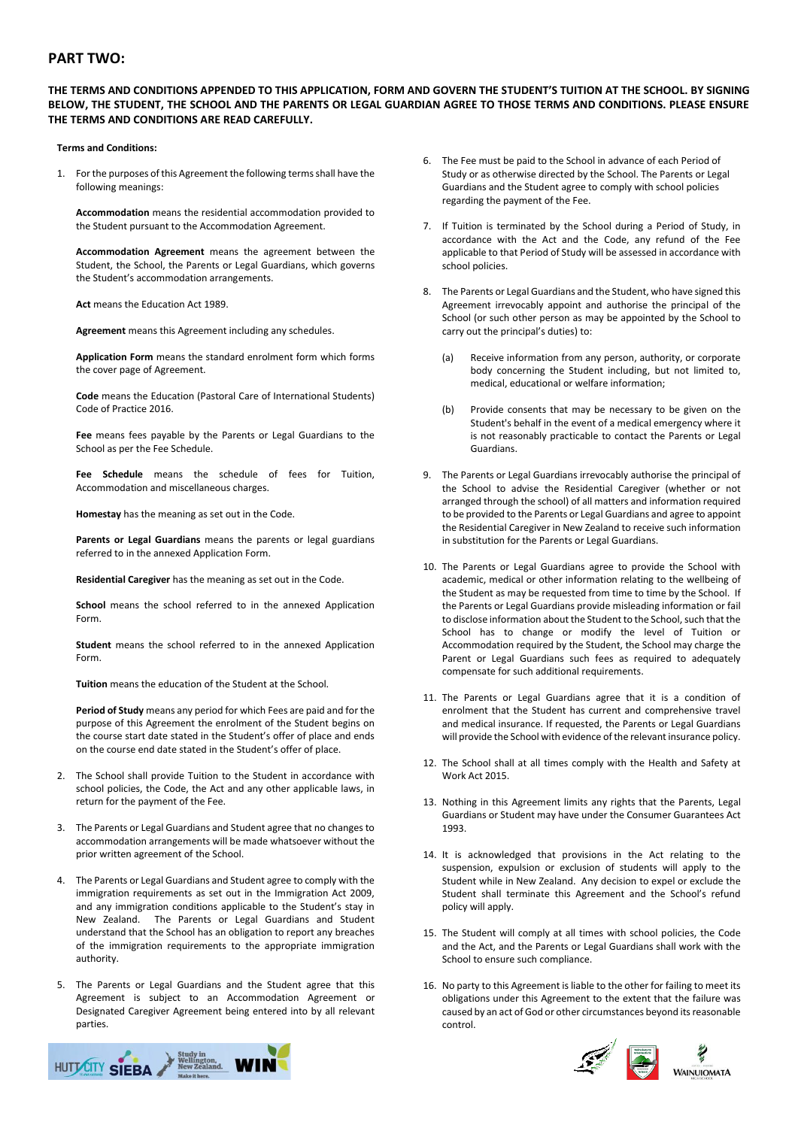# **PART TWO:**

# **THE TERMS AND CONDITIONS APPENDED TO THIS APPLICATION, FORM AND GOVERN THE STUDENT'S TUITION AT THE SCHOOL. BY SIGNING BELOW, THE STUDENT, THE SCHOOL AND THE PARENTS OR LEGAL GUARDIAN AGREE TO THOSE TERMS AND CONDITIONS. PLEASE ENSURE THE TERMS AND CONDITIONS ARE READ CAREFULLY.**

#### **Terms and Conditions:**

1. For the purposes of this Agreement the following terms shall have the following meanings:

**Accommodation** means the residential accommodation provided to the Student pursuant to the Accommodation Agreement.

**Accommodation Agreement** means the agreement between the Student, the School, the Parents or Legal Guardians, which governs the Student's accommodation arrangements.

**Act** means the Education Act 1989.

**Agreement** means this Agreement including any schedules.

**Application Form** means the standard enrolment form which forms the cover page of Agreement.

**Code** means the Education (Pastoral Care of International Students) Code of Practice 2016.

**Fee** means fees payable by the Parents or Legal Guardians to the School as per the Fee Schedule.

**Fee Schedule** means the schedule of fees for Tuition, Accommodation and miscellaneous charges.

**Homestay** has the meaning as set out in the Code.

**Parents or Legal Guardians** means the parents or legal guardians referred to in the annexed Application Form.

**Residential Caregiver** has the meaning as set out in the Code.

**School** means the school referred to in the annexed Application Form.

**Student** means the school referred to in the annexed Application Form.

**Tuition** means the education of the Student at the School.

**Period of Study** means any period for which Fees are paid and for the purpose of this Agreement the enrolment of the Student begins on the course start date stated in the Student's offer of place and ends on the course end date stated in the Student's offer of place.

- 2. The School shall provide Tuition to the Student in accordance with school policies, the Code, the Act and any other applicable laws, in return for the payment of the Fee.
- 3. The Parents or Legal Guardians and Student agree that no changes to accommodation arrangements will be made whatsoever without the prior written agreement of the School.
- 4. The Parents or Legal Guardians and Student agree to comply with the immigration requirements as set out in the Immigration Act 2009, and any immigration conditions applicable to the Student's stay in New Zealand. The Parents or Legal Guardians and Student understand that the School has an obligation to report any breaches of the immigration requirements to the appropriate immigration authority.
- 5. The Parents or Legal Guardians and the Student agree that this Agreement is subject to an Accommodation Agreement or Designated Caregiver Agreement being entered into by all relevant parties.



- 6. The Fee must be paid to the School in advance of each Period of Study or as otherwise directed by the School. The Parents or Legal Guardians and the Student agree to comply with school policies regarding the payment of the Fee.
- 7. If Tuition is terminated by the School during a Period of Study, in accordance with the Act and the Code, any refund of the Fee applicable to that Period of Study will be assessed in accordance with school policies.
- 8. The Parents or Legal Guardians and the Student, who have signed this Agreement irrevocably appoint and authorise the principal of the School (or such other person as may be appointed by the School to carry out the principal's duties) to:
	- (a) Receive information from any person, authority, or corporate body concerning the Student including, but not limited to, medical, educational or welfare information;
	- (b) Provide consents that may be necessary to be given on the Student's behalf in the event of a medical emergency where it is not reasonably practicable to contact the Parents or Legal Guardians.
- 9. The Parents or Legal Guardians irrevocably authorise the principal of the School to advise the Residential Caregiver (whether or not arranged through the school) of all matters and information required to be provided to the Parents or Legal Guardians and agree to appoint the Residential Caregiver in New Zealand to receive such information in substitution for the Parents or Legal Guardians.
- 10. The Parents or Legal Guardians agree to provide the School with academic, medical or other information relating to the wellbeing of the Student as may be requested from time to time by the School. If the Parents or Legal Guardians provide misleading information or fail to disclose information about the Student to the School, such that the School has to change or modify the level of Tuition or Accommodation required by the Student, the School may charge the Parent or Legal Guardians such fees as required to adequately compensate for such additional requirements.
- 11. The Parents or Legal Guardians agree that it is a condition of enrolment that the Student has current and comprehensive travel and medical insurance. If requested, the Parents or Legal Guardians will provide the School with evidence of the relevant insurance policy.
- 12. The School shall at all times comply with the Health and Safety at Work Act 2015.
- 13. Nothing in this Agreement limits any rights that the Parents, Legal Guardians or Student may have under the Consumer Guarantees Act 1993.
- 14. It is acknowledged that provisions in the Act relating to the suspension, expulsion or exclusion of students will apply to the Student while in New Zealand. Any decision to expel or exclude the Student shall terminate this Agreement and the School's refund policy will apply.
- 15. The Student will comply at all times with school policies, the Code and the Act, and the Parents or Legal Guardians shall work with the School to ensure such compliance.
- 16. No party to this Agreement is liable to the other for failing to meet its obligations under this Agreement to the extent that the failure was caused by an act of God or other circumstances beyond its reasonable control.

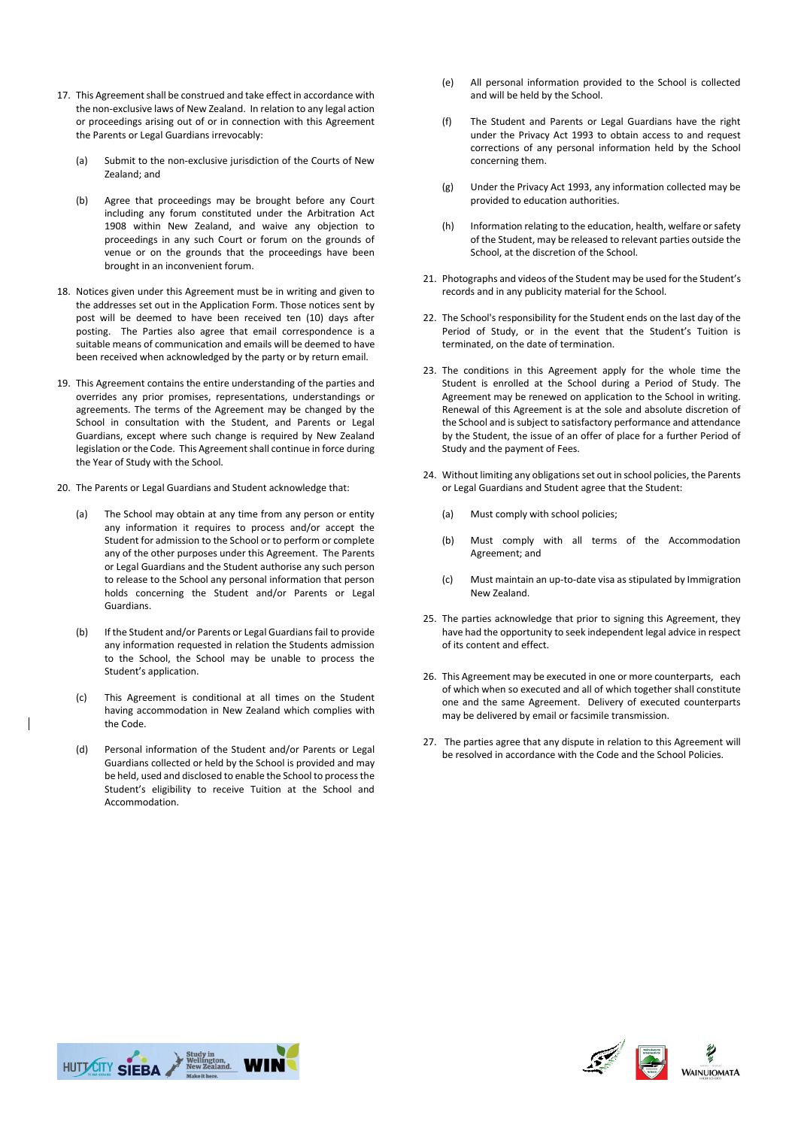- 17. This Agreement shall be construed and take effect in accordance with the non-exclusive laws of New Zealand. In relation to any legal action or proceedings arising out of or in connection with this Agreement the Parents or Legal Guardians irrevocably:
	- (a) Submit to the non-exclusive jurisdiction of the Courts of New Zealand; and
	- (b) Agree that proceedings may be brought before any Court including any forum constituted under the Arbitration Act 1908 within New Zealand, and waive any objection to proceedings in any such Court or forum on the grounds of venue or on the grounds that the proceedings have been brought in an inconvenient forum.
- 18. Notices given under this Agreement must be in writing and given to the addresses set out in the Application Form. Those notices sent by post will be deemed to have been received ten (10) days after posting. The Parties also agree that email correspondence is a suitable means of communication and emails will be deemed to have been received when acknowledged by the party or by return email.
- 19. This Agreement contains the entire understanding of the parties and overrides any prior promises, representations, understandings or agreements. The terms of the Agreement may be changed by the School in consultation with the Student, and Parents or Legal Guardians, except where such change is required by New Zealand legislation or the Code. This Agreement shall continue in force during the Year of Study with the School.
- 20. The Parents or Legal Guardians and Student acknowledge that:
	- (a) The School may obtain at any time from any person or entity any information it requires to process and/or accept the Student for admission to the School or to perform or complete any of the other purposes under this Agreement. The Parents or Legal Guardians and the Student authorise any such person to release to the School any personal information that person holds concerning the Student and/or Parents or Legal Guardians.
	- (b) If the Student and/or Parents or Legal Guardians fail to provide any information requested in relation the Students admission to the School, the School may be unable to process the Student's application.
	- (c) This Agreement is conditional at all times on the Student having accommodation in New Zealand which complies with the Code.
	- (d) Personal information of the Student and/or Parents or Legal Guardians collected or held by the School is provided and may be held, used and disclosed to enable the School to process the Student's eligibility to receive Tuition at the School and Accommodation.
- (e) All personal information provided to the School is collected and will be held by the School.
- (f) The Student and Parents or Legal Guardians have the right under the Privacy Act 1993 to obtain access to and request corrections of any personal information held by the School concerning them.
- (g) Under the Privacy Act 1993, any information collected may be provided to education authorities.
- (h) Information relating to the education, health, welfare or safety of the Student, may be released to relevant parties outside the School, at the discretion of the School.
- 21. Photographs and videos of the Student may be used for the Student's records and in any publicity material for the School.
- 22. The School's responsibility for the Student ends on the last day of the Period of Study, or in the event that the Student's Tuition is terminated, on the date of termination.
- 23. The conditions in this Agreement apply for the whole time the Student is enrolled at the School during a Period of Study. The Agreement may be renewed on application to the School in writing. Renewal of this Agreement is at the sole and absolute discretion of the School and is subject to satisfactory performance and attendance by the Student, the issue of an offer of place for a further Period of Study and the payment of Fees.
- 24. Without limiting any obligations set out in school policies, the Parents or Legal Guardians and Student agree that the Student:
	- (a) Must comply with school policies;
	- (b) Must comply with all terms of the Accommodation Agreement; and
	- (c) Must maintain an up-to-date visa as stipulated by Immigration New Zealand.
- 25. The parties acknowledge that prior to signing this Agreement, they have had the opportunity to seek independent legal advice in respect of its content and effect.
- 26. This Agreement may be executed in one or more counterparts, each of which when so executed and all of which together shall constitute one and the same Agreement. Delivery of executed counterparts may be delivered by email or facsimile transmission.
- 27. The parties agree that any dispute in relation to this Agreement will be resolved in accordance with the Code and the School Policies.



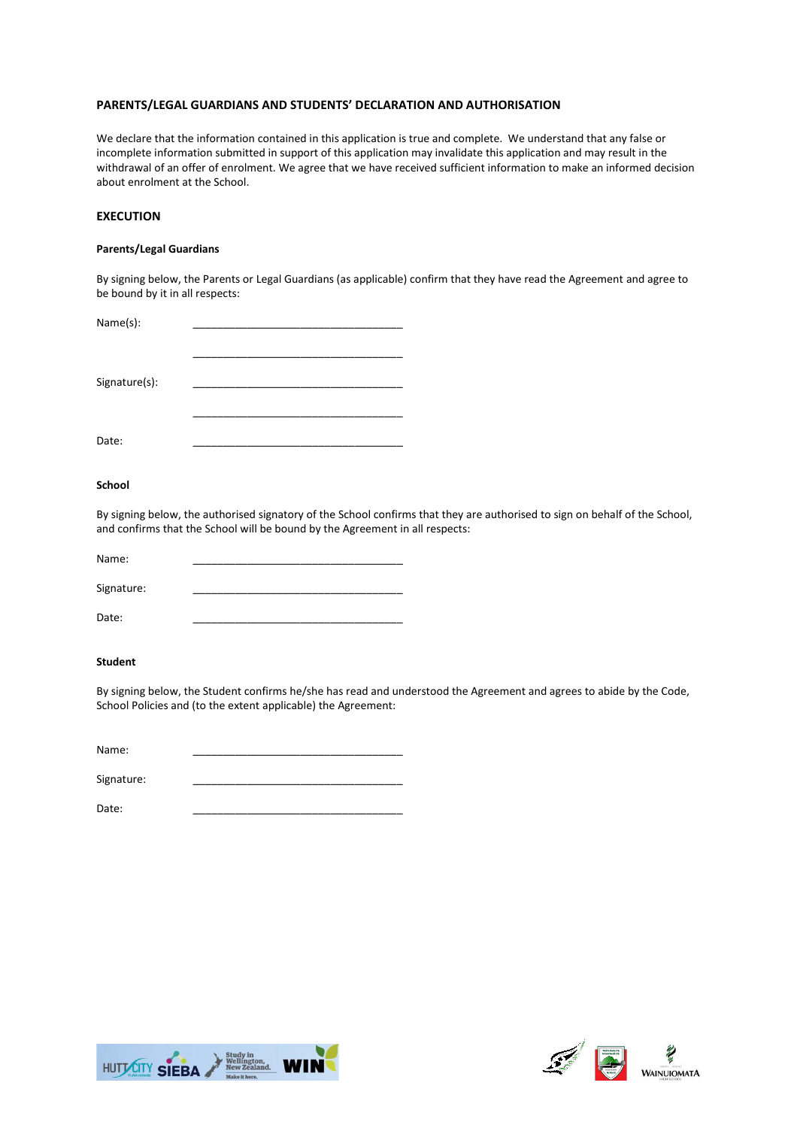# **PARENTS/LEGAL GUARDIANS AND STUDENTS' DECLARATION AND AUTHORISATION**

We declare that the information contained in this application is true and complete. We understand that any false or incomplete information submitted in support of this application may invalidate this application and may result in the withdrawal of an offer of enrolment. We agree that we have received sufficient information to make an informed decision about enrolment at the School.

# **EXECUTION**

# **Parents/Legal Guardians**

By signing below, the Parents or Legal Guardians (as applicable) confirm that they have read the Agreement and agree to be bound by it in all respects:

| Name(s):      |  |
|---------------|--|
|               |  |
|               |  |
|               |  |
| Signature(s): |  |
|               |  |
|               |  |
|               |  |
| Date:         |  |

# **School**

By signing below, the authorised signatory of the School confirms that they are authorised to sign on behalf of the School, and confirms that the School will be bound by the Agreement in all respects:

| Name:      |  |
|------------|--|
| Signature: |  |
| Date:      |  |

# **Student**

By signing below, the Student confirms he/she has read and understood the Agreement and agrees to abide by the Code, School Policies and (to the extent applicable) the Agreement:

| Name:      |  |
|------------|--|
|            |  |
| Signature: |  |



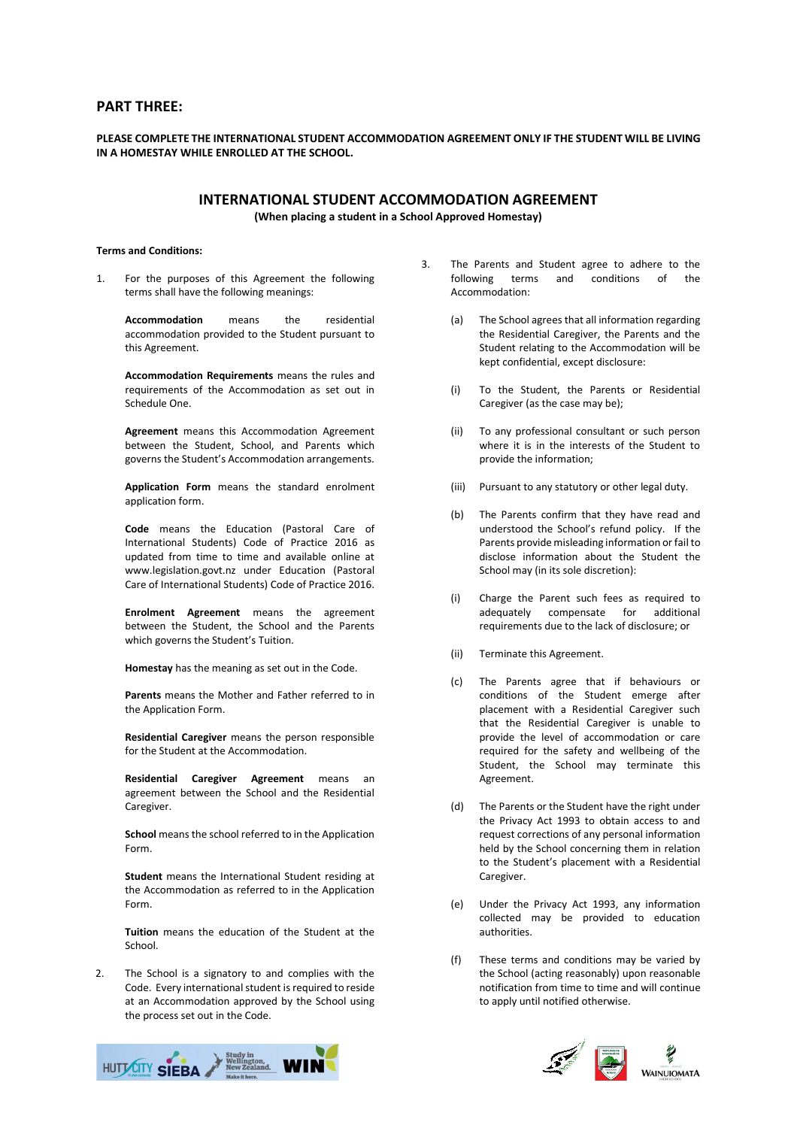# **PART THREE:**

# **PLEASE COMPLETE THE INTERNATIONAL STUDENT ACCOMMODATION AGREEMENT ONLY IF THE STUDENT WILL BE LIVING IN A HOMESTAY WHILE ENROLLED AT THE SCHOOL.**

# **INTERNATIONAL STUDENT ACCOMMODATION AGREEMENT**

**(When placing a student in a School Approved Homestay)**

# **Terms and Conditions:**

1. For the purposes of this Agreement the following terms shall have the following meanings:

> **Accommodation** means the residential accommodation provided to the Student pursuant to this Agreement.

> **Accommodation Requirements** means the rules and requirements of the Accommodation as set out in Schedule One.

> **Agreement** means this Accommodation Agreement between the Student, School, and Parents which governs the Student's Accommodation arrangements.

> **Application Form** means the standard enrolment application form.

**Code** means the Education (Pastoral Care of International Students) Code of Practice 2016 as updated from time to time and available online at www.legislation.govt.nz under Education (Pastoral Care of International Students) Code of Practice 2016.

**Enrolment Agreement** means the agreement between the Student, the School and the Parents which governs the Student's Tuition.

**Homestay** has the meaning as set out in the Code.

**Parents** means the Mother and Father referred to in the Application Form.

**Residential Caregiver** means the person responsible for the Student at the Accommodation.

**Residential Caregiver Agreement** means an agreement between the School and the Residential Caregiver.

**School** means the school referred to in the Application Form.

**Student** means the International Student residing at the Accommodation as referred to in the Application Form.

**Tuition** means the education of the Student at the School.

2. The School is a signatory to and complies with the Code. Every international student is required to reside at an Accommodation approved by the School using the process set out in the Code.



- 3. The Parents and Student agree to adhere to the following terms and conditions of the Accommodation:
	- (a) The School agrees that all information regarding the Residential Caregiver, the Parents and the Student relating to the Accommodation will be kept confidential, except disclosure:
	- (i) To the Student, the Parents or Residential Caregiver (as the case may be);
	- (ii) To any professional consultant or such person where it is in the interests of the Student to provide the information;
	- (iii) Pursuant to any statutory or other legal duty.
	- (b) The Parents confirm that they have read and understood the School's refund policy. If the Parents provide misleading information or fail to disclose information about the Student the School may (in its sole discretion):
	- (i) Charge the Parent such fees as required to adequately compensate for additional requirements due to the lack of disclosure; or
	- (ii) Terminate this Agreement.
	- (c) The Parents agree that if behaviours or conditions of the Student emerge after placement with a Residential Caregiver such that the Residential Caregiver is unable to provide the level of accommodation or care required for the safety and wellbeing of the Student, the School may terminate this Agreement.
	- (d) The Parents or the Student have the right under the Privacy Act 1993 to obtain access to and request corrections of any personal information held by the School concerning them in relation to the Student's placement with a Residential Caregiver.
	- (e) Under the Privacy Act 1993, any information collected may be provided to education authorities.
	- (f) These terms and conditions may be varied by the School (acting reasonably) upon reasonable notification from time to time and will continue to apply until notified otherwise.

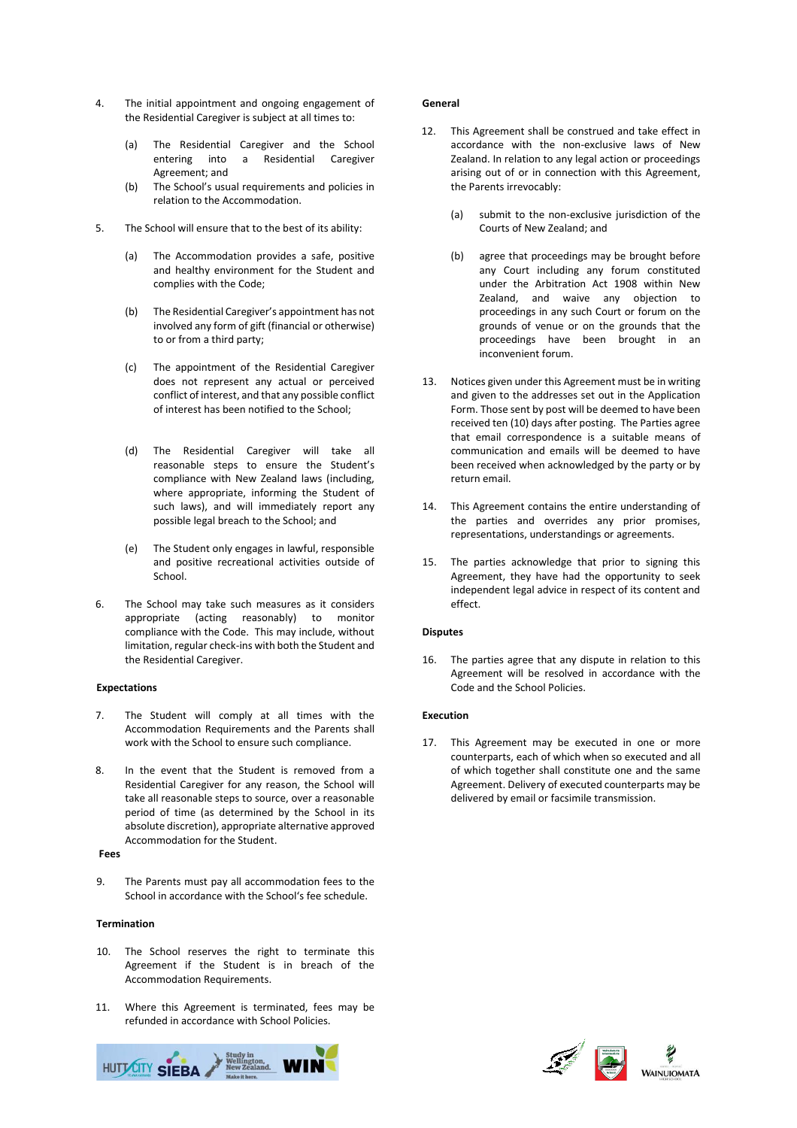- 4. The initial appointment and ongoing engagement of the Residential Caregiver is subject at all times to:
	- (a) The Residential Caregiver and the School entering into a Residential Caregiver Agreement; and
	- (b) The School's usual requirements and policies in relation to the Accommodation.
- 5. The School will ensure that to the best of its ability:
	- (a) The Accommodation provides a safe, positive and healthy environment for the Student and complies with the Code;
	- (b) The Residential Caregiver's appointment has not involved any form of gift (financial or otherwise) to or from a third party;
	- (c) The appointment of the Residential Caregiver does not represent any actual or perceived conflict of interest, and that any possible conflict of interest has been notified to the School;
	- (d) The Residential Caregiver will take all reasonable steps to ensure the Student's compliance with New Zealand laws (including, where appropriate, informing the Student of such laws), and will immediately report any possible legal breach to the School; and
	- (e) The Student only engages in lawful, responsible and positive recreational activities outside of School.
- 6. The School may take such measures as it considers appropriate (acting reasonably) to monitor compliance with the Code. This may include, without limitation, regular check-ins with both the Student and the Residential Caregiver.

### **Expectations**

- 7. The Student will comply at all times with the Accommodation Requirements and the Parents shall work with the School to ensure such compliance.
- 8. In the event that the Student is removed from a Residential Caregiver for any reason, the School will take all reasonable steps to source, over a reasonable period of time (as determined by the School in its absolute discretion), appropriate alternative approved Accommodation for the Student.

# **Fees**

9. The Parents must pay all accommodation fees to the School in accordance with the School's fee schedule.

#### **Termination**

- 10. The School reserves the right to terminate this Agreement if the Student is in breach of the Accommodation Requirements.
- 11. Where this Agreement is terminated, fees may be refunded in accordance with School Policies.



### **General**

- 12. This Agreement shall be construed and take effect in accordance with the non-exclusive laws of New Zealand. In relation to any legal action or proceedings arising out of or in connection with this Agreement, the Parents irrevocably:
	- (a) submit to the non-exclusive jurisdiction of the Courts of New Zealand; and
	- (b) agree that proceedings may be brought before any Court including any forum constituted under the Arbitration Act 1908 within New Zealand, and waive any objection to proceedings in any such Court or forum on the grounds of venue or on the grounds that the proceedings have been brought in an inconvenient forum.
- 13. Notices given under this Agreement must be in writing and given to the addresses set out in the Application Form. Those sent by post will be deemed to have been received ten (10) days after posting. The Parties agree that email correspondence is a suitable means of communication and emails will be deemed to have been received when acknowledged by the party or by return email.
- 14. This Agreement contains the entire understanding of the parties and overrides any prior promises, representations, understandings or agreements.
- 15. The parties acknowledge that prior to signing this Agreement, they have had the opportunity to seek independent legal advice in respect of its content and effect.

#### **Disputes**

16. The parties agree that any dispute in relation to this Agreement will be resolved in accordance with the Code and the School Policies.

# **Execution**

17. This Agreement may be executed in one or more counterparts, each of which when so executed and all of which together shall constitute one and the same Agreement. Delivery of executed counterparts may be delivered by email or facsimile transmission.

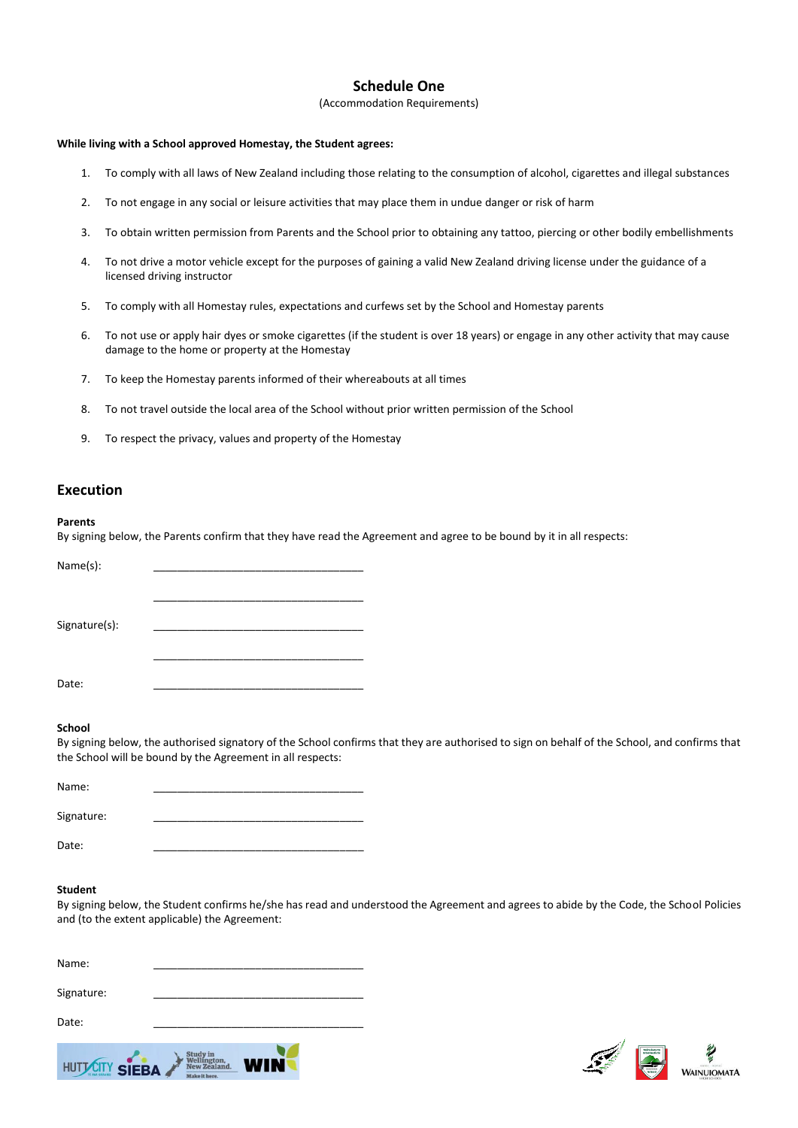# **Schedule One**

(Accommodation Requirements)

# **While living with a School approved Homestay, the Student agrees:**

- 1. To comply with all laws of New Zealand including those relating to the consumption of alcohol, cigarettes and illegal substances
- 2. To not engage in any social or leisure activities that may place them in undue danger or risk of harm
- 3. To obtain written permission from Parents and the School prior to obtaining any tattoo, piercing or other bodily embellishments
- 4. To not drive a motor vehicle except for the purposes of gaining a valid New Zealand driving license under the guidance of a licensed driving instructor
- 5. To comply with all Homestay rules, expectations and curfews set by the School and Homestay parents
- 6. To not use or apply hair dyes or smoke cigarettes (if the student is over 18 years) or engage in any other activity that may cause damage to the home or property at the Homestay
- 7. To keep the Homestay parents informed of their whereabouts at all times
- 8. To not travel outside the local area of the School without prior written permission of the School
- 9. To respect the privacy, values and property of the Homestay

# **Execution**

### **Parents**

By signing below, the Parents confirm that they have read the Agreement and agree to be bound by it in all respects:

| Name(s):      |  |  |  |
|---------------|--|--|--|
|               |  |  |  |
|               |  |  |  |
|               |  |  |  |
| Signature(s): |  |  |  |
|               |  |  |  |
|               |  |  |  |
|               |  |  |  |
| Date:         |  |  |  |
|               |  |  |  |

### **School**

By signing below, the authorised signatory of the School confirms that they are authorised to sign on behalf of the School, and confirms that the School will be bound by the Agreement in all respects:

| Name:      |  |  |  |  |
|------------|--|--|--|--|
|            |  |  |  |  |
| Signature: |  |  |  |  |
|            |  |  |  |  |
| Date:      |  |  |  |  |

### **Student**

By signing below, the Student confirms he/she has read and understood the Agreement and agrees to abide by the Code, the School Policies and (to the extent applicable) the Agreement:

| Name:          |                                                        |    |
|----------------|--------------------------------------------------------|----|
| Signature:     |                                                        |    |
| Date:          |                                                        |    |
| HUTTCITY SIEBA | <b>Study in</b><br><b>New Zealand</b><br>Make it here. | IN |

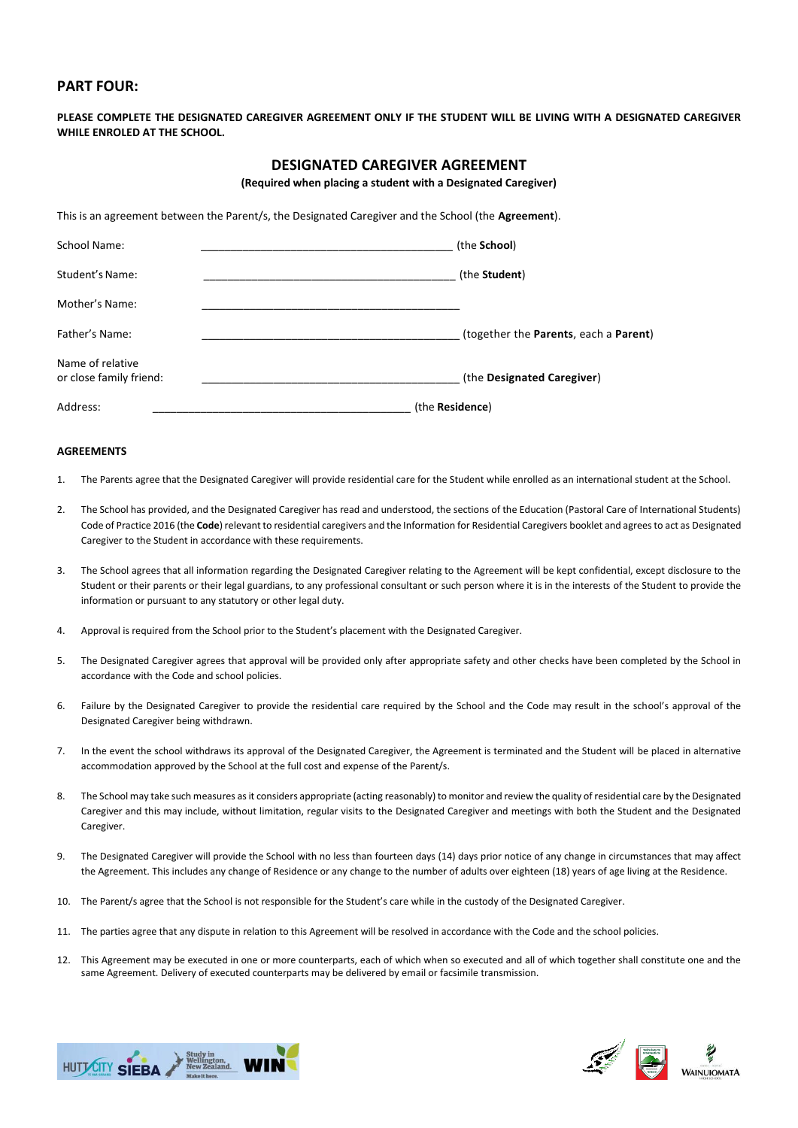# **PART FOUR:**

**PLEASE COMPLETE THE DESIGNATED CAREGIVER AGREEMENT ONLY IF THE STUDENT WILL BE LIVING WITH A DESIGNATED CAREGIVER WHILE ENROLED AT THE SCHOOL.**

# **DESIGNATED CAREGIVER AGREEMENT**

**(Required when placing a student with a Designated Caregiver)**

This is an agreement between the Parent/s, the Designated Caregiver and the School (the **Agreement**).

| School Name:                                | (the School)                          |  |  |
|---------------------------------------------|---------------------------------------|--|--|
| Student's Name:                             | (the Student)                         |  |  |
| Mother's Name:                              |                                       |  |  |
| Father's Name:                              | (together the Parents, each a Parent) |  |  |
| Name of relative<br>or close family friend: | (the Designated Caregiver)            |  |  |
| Address:                                    | (the <b>Residence</b> )               |  |  |

# **AGREEMENTS**

- 1. The Parents agree that the Designated Caregiver will provide residential care for the Student while enrolled as an international student at the School.
- 2. The School has provided, and the Designated Caregiver has read and understood, the sections of the Education (Pastoral Care of International Students) Code of Practice 2016 (the **Code**) relevant to residential caregivers and the Information for Residential Caregivers booklet and agrees to act as Designated Caregiver to the Student in accordance with these requirements.
- 3. The School agrees that all information regarding the Designated Caregiver relating to the Agreement will be kept confidential, except disclosure to the Student or their parents or their legal guardians, to any professional consultant or such person where it is in the interests of the Student to provide the information or pursuant to any statutory or other legal duty.
- 4. Approval is required from the School prior to the Student's placement with the Designated Caregiver.
- 5. The Designated Caregiver agrees that approval will be provided only after appropriate safety and other checks have been completed by the School in accordance with the Code and school policies.
- 6. Failure by the Designated Caregiver to provide the residential care required by the School and the Code may result in the school's approval of the Designated Caregiver being withdrawn.
- 7. In the event the school withdraws its approval of the Designated Caregiver, the Agreement is terminated and the Student will be placed in alternative accommodation approved by the School at the full cost and expense of the Parent/s.
- 8. The School may take such measures as it considers appropriate (acting reasonably) to monitor and review the quality of residential care by the Designated Caregiver and this may include, without limitation, regular visits to the Designated Caregiver and meetings with both the Student and the Designated Caregiver.
- 9. The Designated Caregiver will provide the School with no less than fourteen days (14) days prior notice of any change in circumstances that may affect the Agreement. This includes any change of Residence or any change to the number of adults over eighteen (18) years of age living at the Residence.
- 10. The Parent/s agree that the School is not responsible for the Student's care while in the custody of the Designated Caregiver.
- 11. The parties agree that any dispute in relation to this Agreement will be resolved in accordance with the Code and the school policies.
- 12. This Agreement may be executed in one or more counterparts, each of which when so executed and all of which together shall constitute one and the same Agreement. Delivery of executed counterparts may be delivered by email or facsimile transmission.